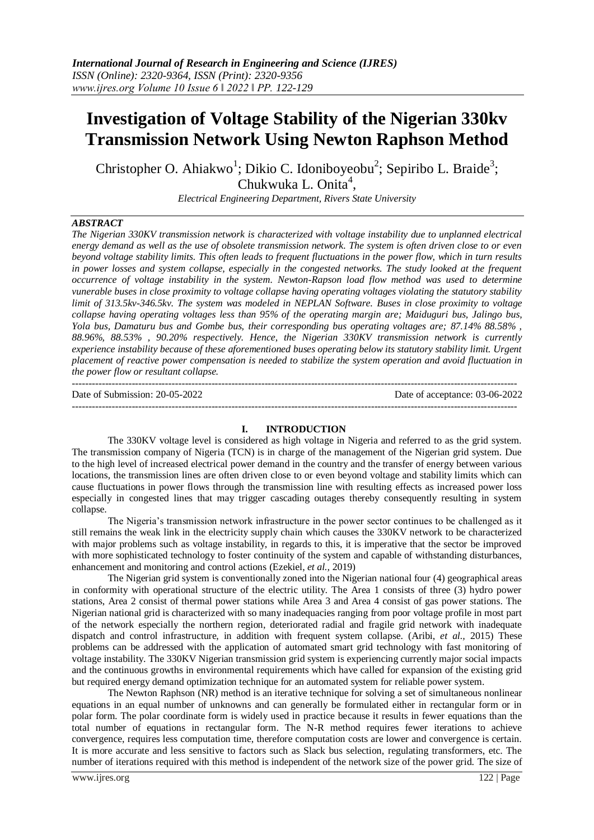# **Investigation of Voltage Stability of the Nigerian 330kv Transmission Network Using Newton Raphson Method**

Christopher O. Ahiakwo<sup>1</sup>; Dikio C. Idoniboyeobu<sup>2</sup>; Sepiribo L. Braide<sup>3</sup>; Chukwuka L. Onita<sup>4</sup>,

*Electrical Engineering Department, Rivers State University*

### *ABSTRACT*

*The Nigerian 330KV transmission network is characterized with voltage instability due to unplanned electrical energy demand as well as the use of obsolete transmission network. The system is often driven close to or even beyond voltage stability limits. This often leads to frequent fluctuations in the power flow, which in turn results in power losses and system collapse, especially in the congested networks. The study looked at the frequent occurrence of voltage instability in the system. Newton-Rapson load flow method was used to determine vunerable buses in close proximity to voltage collapse having operating voltages violating the statutory stability limit of 313.5kv-346.5kv. The system was modeled in NEPLAN Software. Buses in close proximity to voltage collapse having operating voltages less than 95% of the operating margin are; Maiduguri bus, Jalingo bus, Yola bus, Damaturu bus and Gombe bus, their corresponding bus operating voltages are; 87.14% 88.58% , 88.96%, 88.53% , 90.20% respectively. Hence, the Nigerian 330KV transmission network is currently experience instability because of these aforementioned buses operating below its statutory stability limit. Urgent placement of reactive power compensation is needed to stabilize the system operation and avoid fluctuation in the power flow or resultant collapse.*  --------------------------------------------------------------------------------------------------------------------------------------

Date of Submission: 20-05-2022 Date of acceptance: 03-06-2022

#### **I. INTRODUCTION**

--------------------------------------------------------------------------------------------------------------------------------------

The 330KV voltage level is considered as high voltage in Nigeria and referred to as the grid system. The transmission company of Nigeria (TCN) is in charge of the management of the Nigerian grid system. Due to the high level of increased electrical power demand in the country and the transfer of energy between various locations, the transmission lines are often driven close to or even beyond voltage and stability limits which can cause fluctuations in power flows through the transmission line with resulting effects as increased power loss especially in congested lines that may trigger cascading outages thereby consequently resulting in system collapse.

The Nigeria's transmission network infrastructure in the power sector continues to be challenged as it still remains the weak link in the electricity supply chain which causes the 330KV network to be characterized with major problems such as voltage instability, in regards to this, it is imperative that the sector be improved with more sophisticated technology to foster continuity of the system and capable of withstanding disturbances, enhancement and monitoring and control actions (Ezekiel, *et al.,* 2019)

The Nigerian grid system is conventionally zoned into the Nigerian national four (4) geographical areas in conformity with operational structure of the electric utility. The Area 1 consists of three (3) hydro power stations, Area 2 consist of thermal power stations while Area 3 and Area 4 consist of gas power stations. The Nigerian national grid is characterized with so many inadequacies ranging from poor voltage profile in most part of the network especially the northern region, deteriorated radial and fragile grid network with inadequate dispatch and control infrastructure, in addition with frequent system collapse. (Aribi, *et al.,* 2015) These problems can be addressed with the application of automated smart grid technology with fast monitoring of voltage instability. The 330KV Nigerian transmission grid system is experiencing currently major social impacts and the continuous growths in environmental requirements which have called for expansion of the existing grid but required energy demand optimization technique for an automated system for reliable power system.

The Newton Raphson (NR) method is an iterative technique for solving a set of simultaneous nonlinear equations in an equal number of unknowns and can generally be formulated either in rectangular form or in polar form. The polar coordinate form is widely used in practice because it results in fewer equations than the total number of equations in rectangular form. The N-R method requires fewer iterations to achieve convergence, requires less computation time, therefore computation costs are lower and convergence is certain. It is more accurate and less sensitive to factors such as Slack bus selection, regulating transformers, etc. The number of iterations required with this method is independent of the network size of the power grid. The size of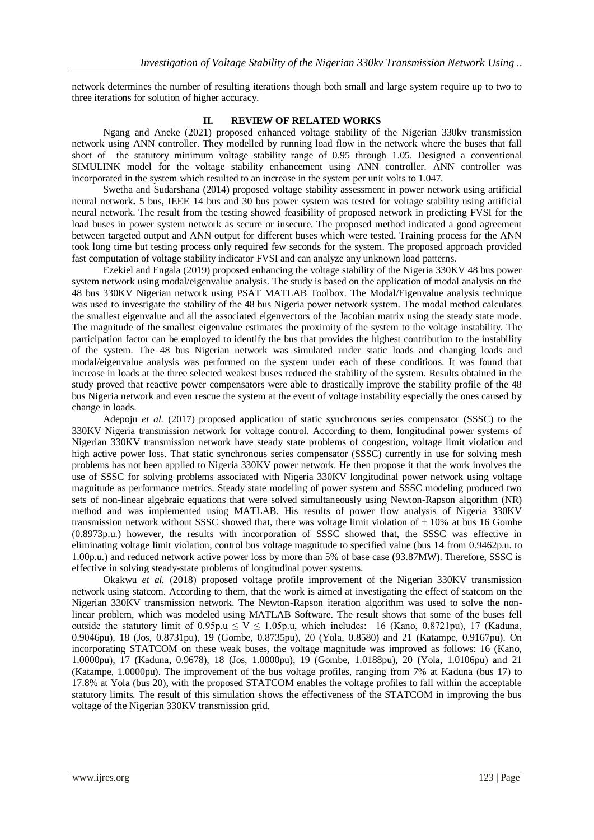network determines the number of resulting iterations though both small and large system require up to two to three iterations for solution of higher accuracy.

## **II. REVIEW OF RELATED WORKS**

Ngang and Aneke (2021) proposed enhanced voltage stability of the Nigerian 330kv transmission network using ANN controller. They modelled by running load flow in the network where the buses that fall short of the statutory minimum voltage stability range of 0.95 through 1.05. Designed a conventional SIMULINK model for the voltage stability enhancement using ANN controller. ANN controller was incorporated in the system which resulted to an increase in the system per unit volts to 1.047.

Swetha and Sudarshana (2014) proposed voltage stability assessment in power network using artificial neural network**.** 5 bus, IEEE 14 bus and 30 bus power system was tested for voltage stability using artificial neural network. The result from the testing showed feasibility of proposed network in predicting FVSI for the load buses in power system network as secure or insecure. The proposed method indicated a good agreement between targeted output and ANN output for different buses which were tested. Training process for the ANN took long time but testing process only required few seconds for the system. The proposed approach provided fast computation of voltage stability indicator FVSI and can analyze any unknown load patterns.

Ezekiel and Engala (2019) proposed enhancing the voltage stability of the Nigeria 330KV 48 bus power system network using modal/eigenvalue analysis. The study is based on the application of modal analysis on the 48 bus 330KV Nigerian network using PSAT MATLAB Toolbox. The Modal/Eigenvalue analysis technique was used to investigate the stability of the 48 bus Nigeria power network system. The modal method calculates the smallest eigenvalue and all the associated eigenvectors of the Jacobian matrix using the steady state mode. The magnitude of the smallest eigenvalue estimates the proximity of the system to the voltage instability. The participation factor can be employed to identify the bus that provides the highest contribution to the instability of the system. The 48 bus Nigerian network was simulated under static loads and changing loads and modal/eigenvalue analysis was performed on the system under each of these conditions. It was found that increase in loads at the three selected weakest buses reduced the stability of the system. Results obtained in the study proved that reactive power compensators were able to drastically improve the stability profile of the 48 bus Nigeria network and even rescue the system at the event of voltage instability especially the ones caused by change in loads.

Adepoju *et al.* (2017) proposed application of static synchronous series compensator (SSSC) to the 330KV Nigeria transmission network for voltage control. According to them, longitudinal power systems of Nigerian 330KV transmission network have steady state problems of congestion, voltage limit violation and high active power loss. That static synchronous series compensator (SSSC) currently in use for solving mesh problems has not been applied to Nigeria 330KV power network. He then propose it that the work involves the use of SSSC for solving problems associated with Nigeria 330KV longitudinal power network using voltage magnitude as performance metrics. Steady state modeling of power system and SSSC modeling produced two sets of non-linear algebraic equations that were solved simultaneously using Newton-Rapson algorithm (NR) method and was implemented using MATLAB. His results of power flow analysis of Nigeria 330KV transmission network without SSSC showed that, there was voltage limit violation of  $\pm$  10% at bus 16 Gombe (0.8973p.u.) however, the results with incorporation of SSSC showed that, the SSSC was effective in eliminating voltage limit violation, control bus voltage magnitude to specified value (bus 14 from 0.9462p.u. to 1.00p.u.) and reduced network active power loss by more than 5% of base case (93.87MW). Therefore, SSSC is effective in solving steady-state problems of longitudinal power systems.

Okakwu *et al.* (2018) proposed voltage profile improvement of the Nigerian 330KV transmission network using statcom. According to them, that the work is aimed at investigating the effect of statcom on the Nigerian 330KV transmission network. The Newton-Rapson iteration algorithm was used to solve the nonlinear problem, which was modeled using MATLAB Software. The result shows that some of the buses fell outside the statutory limit of 0.95p.u  $\leq V \leq 1.05$ p.u, which includes: 16 (Kano, 0.8721pu), 17 (Kaduna, 0.9046pu), 18 (Jos, 0.8731pu), 19 (Gombe, 0.8735pu), 20 (Yola, 0.8580) and 21 (Katampe, 0.9167pu). On incorporating STATCOM on these weak buses, the voltage magnitude was improved as follows: 16 (Kano, 1.0000pu), 17 (Kaduna, 0.9678), 18 (Jos, 1.0000pu), 19 (Gombe, 1.0188pu), 20 (Yola, 1.0106pu) and 21 (Katampe, 1.0000pu). The improvement of the bus voltage profiles, ranging from 7% at Kaduna (bus 17) to 17.8% at Yola (bus 20), with the proposed STATCOM enables the voltage profiles to fall within the acceptable statutory limits. The result of this simulation shows the effectiveness of the STATCOM in improving the bus voltage of the Nigerian 330KV transmission grid.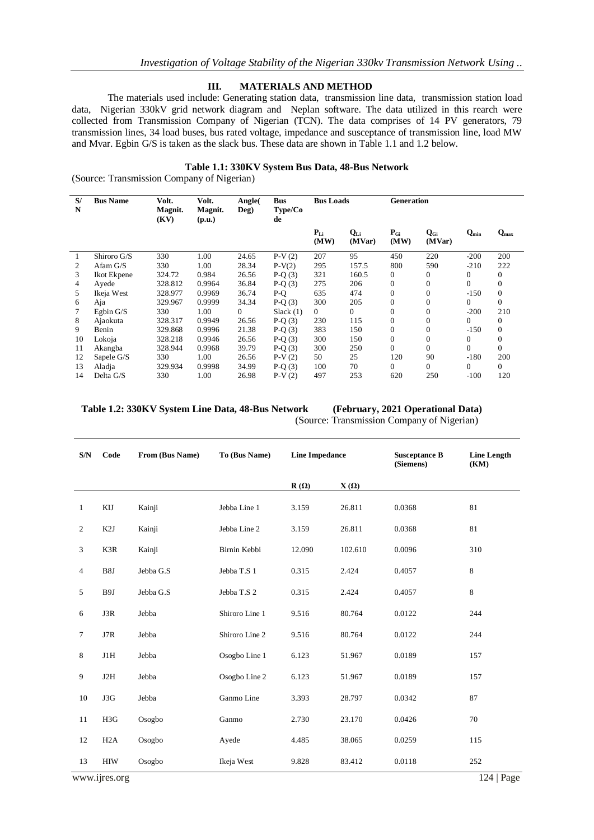#### **III. MATERIALS AND METHOD**

The materials used include: Generating station data, transmission line data, transmission station load data, Nigerian 330kV grid network diagram and Neplan software. The data utilized in this rearch were collected from Transmission Company of Nigerian (TCN). The data comprises of 14 PV generators, 79 transmission lines, 34 load buses, bus rated voltage, impedance and susceptance of transmission line, load MW and Mvar. Egbin G/S is taken as the slack bus. These data are shown in Table 1.1 and 1.2 below.

#### **Table 1.1: 330KV System Bus Data, 48-Bus Network**

(Source: Transmission Company of Nigerian)

| S/<br>N | <b>Bus Name</b> | Volt.<br>Magnit.<br>(KV) | Volt.<br>Magnit.<br>(p.u.) | Angle(<br>Deg) | <b>Bus</b><br>Type/Co<br>de | <b>Bus Loads</b> |                    | <b>Generation</b> |                    |              |                  |
|---------|-----------------|--------------------------|----------------------------|----------------|-----------------------------|------------------|--------------------|-------------------|--------------------|--------------|------------------|
|         |                 |                          |                            |                |                             | $P_{Li}$<br>(MW) | $Q_{Li}$<br>(MVar) | $P_{Gi}$<br>(MW)  | $Q_{Gi}$<br>(MVar) | $Q_{min}$    | $Q_{\text{max}}$ |
|         | Shiroro G/S     | 330                      | 1.00                       | 24.65          | $P-V(2)$                    | 207              | 95                 | 450               | 220                | $-200$       | 200              |
| 2       | Afam $G/S$      | 330                      | 1.00                       | 28.34          | $P-V(2)$                    | 295              | 157.5              | 800               | 590                | $-210$       | 222              |
| 3       | Ikot Ekpene     | 324.72                   | 0.984                      | 26.56          | $P-Q(3)$                    | 321              | 160.5              | $\mathbf{0}$      | $\mathbf{0}$       | $\mathbf{0}$ | $\mathbf{0}$     |
| 4       | Ayede           | 328.812                  | 0.9964                     | 36.84          | $P-Q(3)$                    | 275              | 206                | $\mathbf{0}$      | $\mathbf{0}$       | $\Omega$     | $\overline{0}$   |
| 5.      | Ikeja West      | 328.977                  | 0.9969                     | 36.74          | $P-Q$                       | 635              | 474                | $\Omega$          | $\Omega$           | $-150$       | $\mathbf{0}$     |
| 6       | Aja             | 329.967                  | 0.9999                     | 34.34          | $P-Q(3)$                    | 300              | 205                | $\Omega$          | $\theta$           | $\Omega$     | $\Omega$         |
| 7       | Egbin $G/S$     | 330                      | 1.00                       | $\Omega$       | Slack $(1)$                 | $\overline{0}$   | 0                  | $\Omega$          | $\overline{0}$     | $-200$       | 210              |
| 8       | Ajaokuta        | 328.317                  | 0.9949                     | 26.56          | $P-Q(3)$                    | 230              | 115                | $\Omega$          | $\Omega$           | $\Omega$     | $\overline{0}$   |
| 9       | Benin           | 329.868                  | 0.9996                     | 21.38          | $P-Q(3)$                    | 383              | 150                | $\Omega$          | $\Omega$           | $-150$       | $\mathbf{0}$     |
| 10      | Lokoja          | 328.218                  | 0.9946                     | 26.56          | $P-Q(3)$                    | 300              | 150                | $\Omega$          | $\mathbf{0}$       | $\mathbf{0}$ | $\overline{0}$   |
| 11      | Akangba         | 328.944                  | 0.9968                     | 39.79          | $P-Q(3)$                    | 300              | 250                | $\Omega$          | $\Omega$           | $\Omega$     | $\Omega$         |
| 12      | Sapele G/S      | 330                      | 1.00                       | 26.56          | $P-V(2)$                    | 50               | 25                 | 120               | 90                 | $-180$       | 200              |
| 13      | Aladja          | 329.934                  | 0.9998                     | 34.99          | $P-Q(3)$                    | 100              | 70                 | $\Omega$          | $\Omega$           | $\Omega$     | $\Omega$         |
| 14      | Delta G/S       | 330                      | 1.00                       | 26.98          | $P-V(2)$                    | 497              | 253                | 620               | 250                | $-100$       | 120              |

### **Table 1.2: 330KV System Line Data, 48-Bus Network (February, 2021 Operational Data)**

(Source: Transmission Company of Nigerian)

| S/N            | Code             | From (Bus Name) | To (Bus Name)  | <b>Line Impedance</b> |             | <b>Susceptance B</b><br>(Siemens) | <b>Line Length</b><br>(KM) |
|----------------|------------------|-----------------|----------------|-----------------------|-------------|-----------------------------------|----------------------------|
|                |                  |                 |                | $R(\Omega)$           | $X(\Omega)$ |                                   |                            |
| $\mathbf{1}$   | KIJ              | Kainji          | Jebba Line 1   | 3.159                 | 26.811      | 0.0368                            | 81                         |
| $\overline{2}$ | K <sub>2</sub> J | Kainji          | Jebba Line 2   | 3.159                 | 26.811      | 0.0368                            | 81                         |
| 3              | K3R              | Kainji          | Birnin Kebbi   | 12.090                | 102.610     | 0.0096                            | 310                        |
| $\overline{4}$ | B8J              | Jebba G.S       | Jebba T.S 1    | 0.315                 | 2.424       | 0.4057                            | 8                          |
| 5              | B9J              | Jebba G.S       | Jebba T.S 2    | 0.315                 | 2.424       | 0.4057                            | 8                          |
| 6              | J3R              | Jebba           | Shiroro Line 1 | 9.516                 | 80.764      | 0.0122                            | 244                        |
| $\tau$         | J7R              | Jebba           | Shiroro Line 2 | 9.516                 | 80.764      | 0.0122                            | 244                        |
| 8              | J1H              | Jebba           | Osogbo Line 1  | 6.123                 | 51.967      | 0.0189                            | 157                        |
| 9              | J2H              | Jebba           | Osogbo Line 2  | 6.123                 | 51.967      | 0.0189                            | 157                        |
| 10             | J3G              | Jebba           | Ganmo Line     | 3.393                 | 28.797      | 0.0342                            | 87                         |
| 11             | H3G              | Osogbo          | Ganmo          | 2.730                 | 23.170      | 0.0426                            | 70                         |
| 12             | H2A              | Osogbo          | Ayede          | 4.485                 | 38.065      | 0.0259                            | 115                        |
| 13             | <b>HIW</b>       | Osogbo          | Ikeja West     | 9.828                 | 83.412      | 0.0118                            | 252                        |

www.ijres.org 124 | Page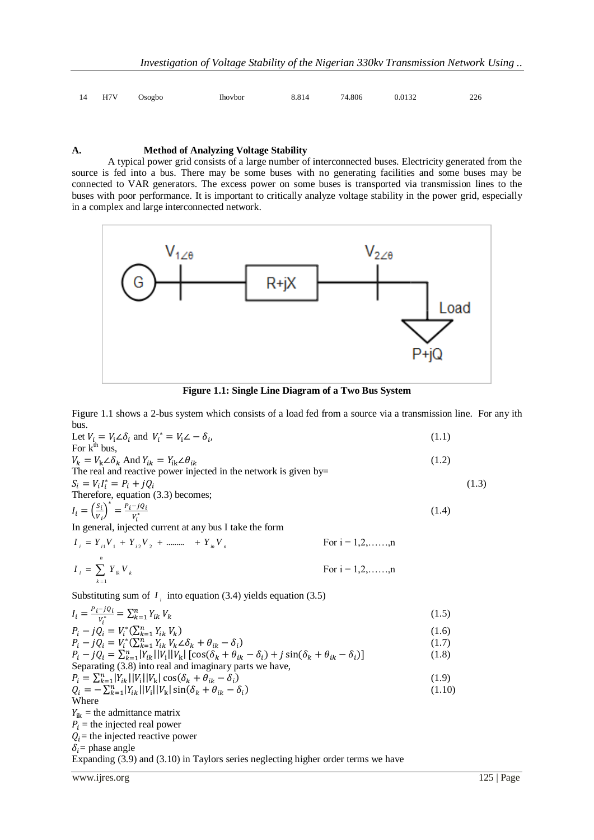| 14 H7V Osogbo | Ihovbor | 8.814 74.806 | 0.0132 | 226 |
|---------------|---------|--------------|--------|-----|
|               |         |              |        |     |

### **A. Method of Analyzing Voltage Stability**

A typical power grid consists of a large number of interconnected buses. Electricity generated from the source is fed into a bus. There may be some buses with no generating facilities and some buses may be connected to VAR generators. The excess power on some buses is transported via transmission lines to the buses with poor performance. It is important to critically analyze voltage stability in the power grid, especially in a complex and large interconnected network.



**Figure 1.1: Single Line Diagram of a Two Bus System**

Figure 1.1 shows a 2-bus system which consists of a load fed from a source via a transmission line. For any ith bus.

| DUS.                                                                                                                                   |                           |        |       |
|----------------------------------------------------------------------------------------------------------------------------------------|---------------------------|--------|-------|
| Let $V_i = V_i \angle \delta_i$ and $V_i^* = V_i \angle - \delta_i$ ,                                                                  |                           | (1.1)  |       |
| For $k^{\text{th}}$ bus.                                                                                                               |                           |        |       |
| $V_k = V_k \angle \delta_k$ And $Y_{ik} = Y_{ik} \angle \theta_{ik}$                                                                   |                           | (1.2)  |       |
| The real and reactive power injected in the network is given by=                                                                       |                           |        |       |
| $S_i = V_i I_i^* = P_i + j Q_i$                                                                                                        |                           |        | (1.3) |
| Therefore, equation (3.3) becomes;                                                                                                     |                           |        |       |
| $I_i = \left(\frac{S_i}{V_i}\right)^* = \frac{P_i - jQ_i}{V_i^*}$                                                                      |                           | (1.4)  |       |
| In general, injected current at any bus I take the form                                                                                |                           |        |       |
| $I_i = Y_{i1}V_1 + Y_{i2}V_2 + \dots + Y_{in}V_{in}$                                                                                   | For $i = 1, 2, \ldots, n$ |        |       |
|                                                                                                                                        |                           |        |       |
| $I_i = \sum Y_{ik} V_k$                                                                                                                | For $i = 1, 2, \ldots, n$ |        |       |
|                                                                                                                                        |                           |        |       |
| Substituting sum of $I_i$ into equation (3.4) yields equation (3.5)                                                                    |                           |        |       |
| $I_i = \frac{P_i - JQ_i}{V_i^*} = \sum_{k=1}^n Y_{ik} V_k$                                                                             |                           | (1.5)  |       |
| $P_i - i Q_i = V_i^*(\sum_{k=1}^n Y_{ik} V_k)$                                                                                         |                           | (1.6)  |       |
| $P_i - i Q_i = V_i^*(\sum_{k=1}^n Y_{ik} V_k \angle \delta_k + \theta_{ik} - \delta_i)$                                                |                           | (1.7)  |       |
| $P_i - jQ_i = \sum_{k=1}^{n}  Y_{ik}  V_i  V_k  [\cos(\delta_k + \theta_{ik} - \delta_i) + j \sin(\delta_k + \theta_{ik} - \delta_i)]$ |                           | (1.8)  |       |
| Separating (3.8) into real and imaginary parts we have,                                                                                |                           |        |       |
| $P_i = \sum_{k=1}^n  Y_{ik}  V_i  V_k \cos(\delta_k + \theta_{ik} - \delta_i)$                                                         |                           | (1.9)  |       |
| $Q_i = -\sum_{k=1}^{n}  Y_{ik}   V_i   V_k  \sin(\delta_k + \theta_{ik} - \delta_i)$                                                   |                           | (1.10) |       |
| Where                                                                                                                                  |                           |        |       |
| $Y_{ik}$ = the admittance matrix                                                                                                       |                           |        |       |
| $P_i$ = the injected real power                                                                                                        |                           |        |       |
| $Q_i$ = the injected reactive power                                                                                                    |                           |        |       |
| $\delta_i$ = phase angle                                                                                                               |                           |        |       |
| Expanding (3.9) and (3.10) in Taylors series neglecting higher order terms we have                                                     |                           |        |       |

www.ijres.org 125 | Page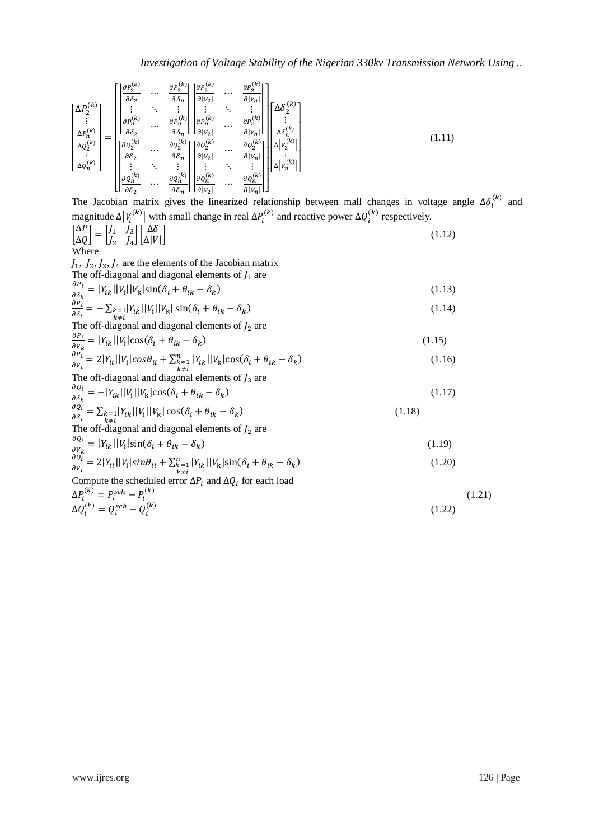$$
\begin{bmatrix}\n\Delta P_2^{(k)} \\
\vdots \\
\Delta P_n^{(k)} \\
\Delta Q_2^{(k)} \\
\vdots \\
\Delta Q_n^{(k)}\n\end{bmatrix} = \begin{bmatrix}\n\begin{vmatrix}\n\frac{\partial P_2^{(k)}}{\partial \delta_2} & \cdots & \frac{\partial P_2^{(k)}}{\partial \delta_n} \\
\vdots & \ddots & \vdots \\
\frac{\partial P_n^{(k)}}{\partial \delta_2} & \cdots & \frac{\partial P_n^{(k)}}{\partial \delta_n} \\
\vdots & \ddots & \vdots \\
\frac{\partial P_n^{(k)}}{\partial \delta_2} & \cdots & \frac{\partial P_n^{(k)}}{\partial \delta_n}\n\end{vmatrix} \begin{vmatrix}\n\frac{\partial P_2^{(k)}}{\partial |V_2|} & \cdots & \frac{\partial P_n^{(k)}}{\partial |V_n|} \\
\vdots & \ddots & \vdots \\
\frac{\partial P_n^{(k)}}{\partial \delta_2} & \cdots & \frac{\partial Q_n^{(k)}}{\partial \delta_n} \\
\vdots & \ddots & \vdots \\
\frac{\partial Q_n^{(k)}}{\partial \delta_2} & \cdots & \frac{\partial Q_n^{(k)}}{\partial \delta_n}\n\end{vmatrix} \begin{vmatrix}\n\frac{\partial Q_2^{(k)}}{\partial |V_2|} & \cdots & \frac{\partial Q_n^{(k)}}{\partial |V_n|} \\
\vdots & \ddots & \vdots \\
\frac{\partial Q_n^{(k)}}{\partial \delta_2} & \cdots & \frac{\partial Q_n^{(k)}}{\partial \delta_n}\n\end{vmatrix} \begin{bmatrix}\n\Delta \delta_2^{(k)} \\
\vdots \\
\Delta \delta_n^{(k)} \\
\vdots \\
\Delta \delta_n^{(k)}\n\end{bmatrix} \begin{bmatrix}\n\Delta \delta_2^{(k)} \\
\vdots \\
\Delta \delta_n^{(k)} \\
\vdots \\
\Delta \delta_n^{(k)}\n\end{bmatrix}
$$
\n(1.11)

The Jacobian matrix gives the linearized relationship between mall changes in voltage angle  $\Delta \delta_i^{(k)}$  and magnitude  $\Delta |V_i^{(k)}|$  with small change in real  $\Delta P_i^{(k)}$  and reactive power  $\Delta Q_i^{(k)}$  respectively.

$$
\begin{bmatrix}\n\Delta P \\
\Delta Q\n\end{bmatrix} = \begin{bmatrix}\nJ_1 & J_3 \\
J_2 & J_4\n\end{bmatrix} \begin{bmatrix}\n\Delta \delta \\
\Delta |V|\n\end{bmatrix}
$$
\n(1.12)

 $J_1$ ,  $J_2$ ,  $J_3$ ,  $J_4$  are the elements of the Jacobian matrix The off-diagonal and diagonal elements of  $J_1$  are

$$
\frac{\partial P_i}{\partial \delta_k} = |Y_{ik}| |V_i| |V_k| \sin(\delta_i + \theta_{ik} - \delta_k)
$$
\n(1.13)

$$
\frac{\partial P_i}{\partial \delta_i} = -\sum_{k \neq i} |Y_{ik}| |V_i| |V_k| \sin(\delta_i + \theta_{ik} - \delta_k)
$$
\n(1.14)

 $\sum_{k \neq i}^{i}$ <br>The off-diagonal and diagonal elements of  $J_2$  are

$$
\frac{\partial P_i}{\partial V_k} = |Y_{ik}| |V_i| \cos(\delta_i + \theta_{ik} - \delta_k)
$$
\n
$$
\frac{\partial P_i}{\partial V_i} = 2|Y_{ii}| |V_i| \cos\theta_{ii} + \sum_{k=1}^n |Y_{ik}| |V_k| \cos(\delta_i + \theta_{ik} - \delta_k)
$$
\n
$$
(1.16)
$$

The off-diagonal and diagonal elements of 
$$
J_3
$$
 are

$$
\frac{\partial q_i}{\partial \delta_k} = -|Y_{ik}| |V_i| |V_k| \cos(\delta_i + \theta_{ik} - \delta_k)
$$
\n(1.17)

$$
\frac{\partial q_i}{\partial \delta_i} = \sum_{\substack{k=1 \ k \neq i}} |Y_{ik}| |V_i| |V_k| \cos(\delta_i + \theta_{ik} - \delta_k)
$$
\nThe off-diagonal and diagonal elements of  $I_2$  are

\n
$$
\tag{1.18}
$$

$$
\frac{\partial q_i}{\partial v_k} = |Y_{ik}| |V_i| \sin(\delta_i + \theta_{ik} - \delta_k)
$$

$$
\frac{\partial \hat{q}_i}{\partial v_i} = 2|Y_{ii}||V_i|\sin\theta_{ii} + \sum_{\substack{k=1 \ k \neq i}}^n |Y_{ik}||V_k|\sin(\delta_i + \theta_{ik} - \delta_k)
$$
\n(1.20)  
\nCompute the scheduled error  $\Delta P_i$  and  $\Delta Q_i$  for each load

 $\Delta P_i^{(k)} = P_i^{sch} - P_i^{(k)}$  (1.21)

$$
\Delta Q_i^{(k)} = Q_i^{sch} - Q_i^{(k)} \tag{1.22}
$$

(1.19)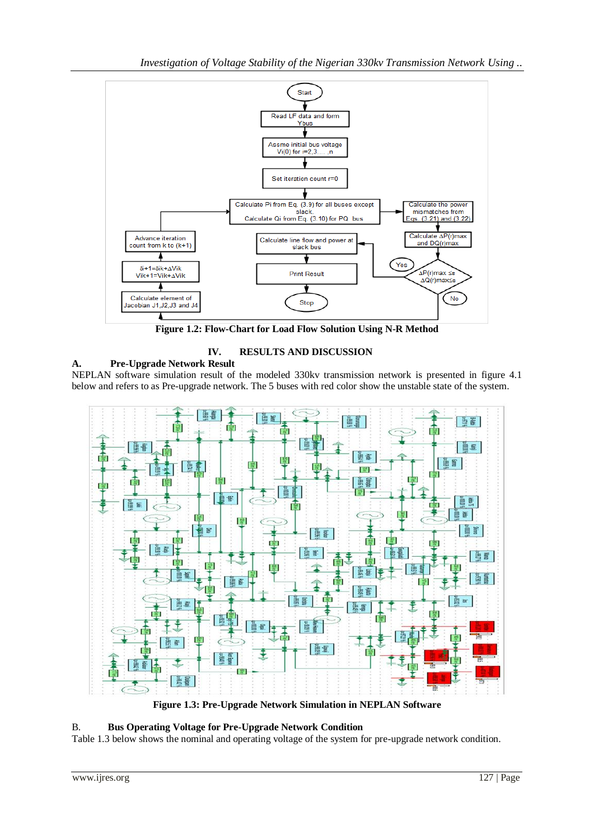*Investigation of Voltage Stability of the Nigerian 330kv Transmission Network Using ..*



**Figure 1.2: Flow-Chart for Load Flow Solution Using N-R Method**



**A. Pre-Upgrade Network Result** NEPLAN software simulation result of the modeled 330kv transmission network is presented in figure 4.1 below and refers to as Pre-upgrade network. The 5 buses with red color show the unstable state of the system.



**Figure 1.3: Pre-Upgrade Network Simulation in NEPLAN Software**

## B. **Bus Operating Voltage for Pre-Upgrade Network Condition**

Table 1.3 below shows the nominal and operating voltage of the system for pre-upgrade network condition.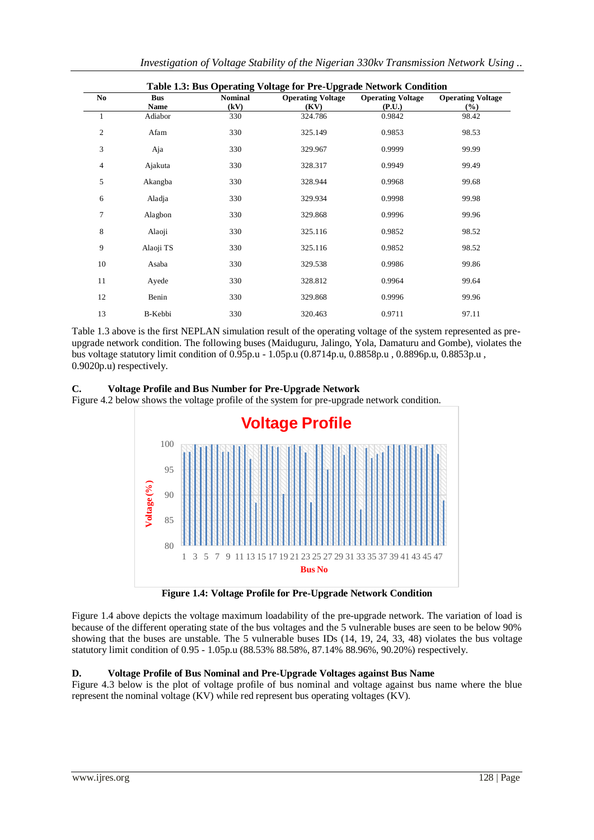| N <sub>0</sub> | <b>Bus</b> | <b>Nominal</b> | <b>Operating Voltage</b> | <b>Operating Voltage</b> | <b>Operating Voltage</b> |
|----------------|------------|----------------|--------------------------|--------------------------|--------------------------|
|                | Name       | (kV)           | (KV)                     | (P.U.)                   | (%)                      |
| 1              | Adiabor    | 330            | 324.786                  | 0.9842                   | 98.42                    |
| $\overline{2}$ | Afam       | 330            | 325.149                  | 0.9853                   | 98.53                    |
| 3              | Aja        | 330            | 329.967                  | 0.9999                   | 99.99                    |
| 4              | Ajakuta    | 330            | 328.317                  | 0.9949                   | 99.49                    |
| 5              | Akangba    | 330            | 328.944                  | 0.9968                   | 99.68                    |
| 6              | Aladja     | 330            | 329.934                  | 0.9998                   | 99.98                    |
| 7              | Alagbon    | 330            | 329.868                  | 0.9996                   | 99.96                    |
| 8              | Alaoji     | 330            | 325.116                  | 0.9852                   | 98.52                    |
| 9              | Alaoji TS  | 330            | 325.116                  | 0.9852                   | 98.52                    |
| 10             | Asaba      | 330            | 329.538                  | 0.9986                   | 99.86                    |
| 11             | Ayede      | 330            | 328.812                  | 0.9964                   | 99.64                    |
| 12             | Benin      | 330            | 329.868                  | 0.9996                   | 99.96                    |
| 13             | B-Kebbi    | 330            | 320.463                  | 0.9711                   | 97.11                    |

*Investigation of Voltage Stability of the Nigerian 330kv Transmission Network Using ..*

Table 1.3 above is the first NEPLAN simulation result of the operating voltage of the system represented as preupgrade network condition. The following buses (Maiduguru, Jalingo, Yola, Damaturu and Gombe), violates the bus voltage statutory limit condition of 0.95p.u - 1.05p.u (0.8714p.u, 0.8858p.u , 0.8896p.u, 0.8853p.u , 0.9020p.u) respectively.

## **C. Voltage Profile and Bus Number for Pre-Upgrade Network**

Figure 4.2 below shows the voltage profile of the system for pre-upgrade network condition.



**Figure 1.4: Voltage Profile for Pre-Upgrade Network Condition**

Figure 1.4 above depicts the voltage maximum loadability of the pre-upgrade network. The variation of load is because of the different operating state of the bus voltages and the 5 vulnerable buses are seen to be below 90% showing that the buses are unstable. The 5 vulnerable buses IDs (14, 19, 24, 33, 48) violates the bus voltage statutory limit condition of 0.95 - 1.05p.u (88.53% 88.58%, 87.14% 88.96%, 90.20%) respectively.

# **D. Voltage Profile of Bus Nominal and Pre-Upgrade Voltages against Bus Name**

Figure 4.3 below is the plot of voltage profile of bus nominal and voltage against bus name where the blue represent the nominal voltage (KV) while red represent bus operating voltages (KV).